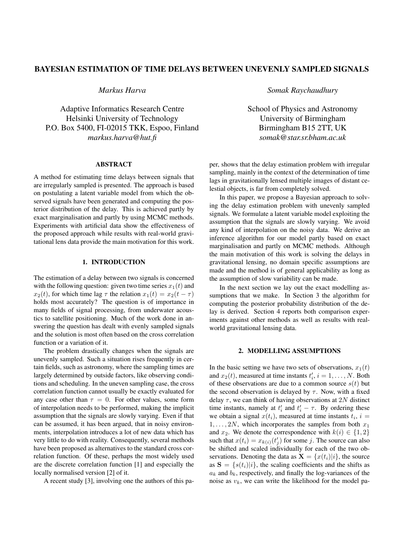# **BAYESIAN ESTIMATION OF TIME DELAYS BETWEEN UNEVENLY SAMPLED SIGNALS**

*Markus Harva*

Adaptive Informatics Research Centre Helsinki University of Technology P.O. Box 5400, FI-02015 TKK, Espoo, Finland *markus.harva@hut.fi*

### **ABSTRACT**

A method for estimating time delays between signals that are irregularly sampled is presented. The approach is based on postulating a latent variable model from which the observed signals have been generated and computing the posterior distribution of the delay. This is achieved partly by exact marginalisation and partly by using MCMC methods. Experiments with artificial data show the effectiveness of the proposed approach while results with real-world gravitational lens data provide the main motivation for this work.

### **1. INTRODUCTION**

The estimation of a delay between two signals is concerned with the following question: given two time series  $x_1(t)$  and  $x_2(t)$ , for which time lag  $\tau$  the relation  $x_1(t) = x_2(t - \tau)$ holds most accurately? The question is of importance in many fields of signal processing, from underwater acoustics to satellite positioning. Much of the work done in answering the question has dealt with evenly sampled signals and the solution is most often based on the cross correlation function or a variation of it.

The problem drastically changes when the signals are unevenly sampled. Such a situation rises frequently in certain fields, such as astronomy, where the sampling times are largely determined by outside factors, like observing conditions and scheduling. In the uneven sampling case, the cross correlation function cannot usually be exactly evaluated for any case other than  $\tau = 0$ . For other values, some form of interpolation needs to be performed, making the implicit assumption that the signals are slowly varying. Even if that can be assumed, it has been argued, that in noisy environments, interpolation introduces a lot of new data which has very little to do with reality. Consequently, several methods have been proposed as alternatives to the standard cross correlation function. Of these, perhaps the most widely used are the discrete correlation function [1] and especially the locally normalised version [2] of it.

A recent study [3], involving one the authors of this pa-

*Somak Raychaudhury*

School of Physics and Astronomy University of Birmingham Birmingham B15 2TT, UK *somak@star.sr.bham.ac.uk*

per, shows that the delay estimation problem with irregular sampling, mainly in the context of the determination of time lags in gravitationally lensed multiple images of distant celestial objects, is far from completely solved.

In this paper, we propose a Bayesian approach to solving the delay estimation problem with unevenly sampled signals. We formulate a latent variable model exploiting the assumption that the signals are slowly varying. We avoid any kind of interpolation on the noisy data. We derive an inference algorithm for our model partly based on exact marginalisation and partly on MCMC methods. Although the main motivation of this work is solving the delays in gravitational lensing, no domain specific assumptions are made and the method is of general applicability as long as the assumption of slow variability can be made.

In the next section we lay out the exact modelling assumptions that we make. In Section 3 the algorithm for computing the posterior probability distribution of the delay is derived. Section 4 reports both comparison experiments against other methods as well as results with realworld gravitational lensing data.

#### **2. MODELLING ASSUMPTIONS**

In the basic setting we have two sets of observations,  $x_1(t)$ and  $x_2(t)$ , measured at time instants  $t'_i$ ,  $i = 1, \ldots, N$ . Both of these observations are due to a common source  $s(t)$  but the second observation is delayed by  $\tau$ . Now, with a fixed delay  $\tau$ , we can think of having observations at 2N distinct time instants, namely at  $t_i'$  and  $t_i' - \tau$ . By ordering these we obtain a signal  $x(t_i)$ , measured at time instants  $t_i$ ,  $i =$  $1, \ldots, 2N$ , which incorporates the samples from both  $x_1$ and  $x_2$ . We denote the correspondence with  $k(i) \in \{1,2\}$ such that  $x(t_i) = x_{k(i)}(t'_j)$  for some j. The source can also be shifted and scaled individually for each of the two observations. Denoting the data as  $X = \{x(t_i)|i\}$ , the source as  $S = \{s(t_i)|i\}$ , the scaling coefficients and the shifts as  $a_k$  and  $b_k$ , respectively, and finally the log-variances of the noise as  $v_k$ , we can write the likelihood for the model pa-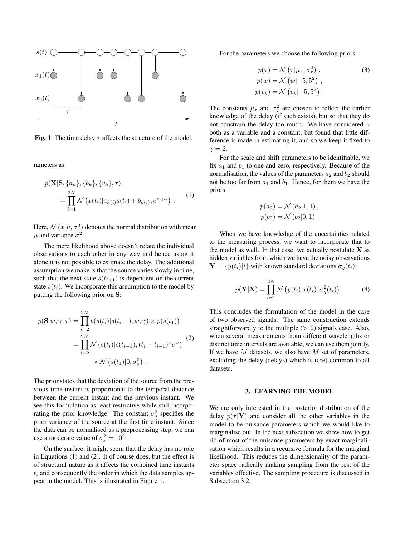

**Fig. 1**. The time delay  $\tau$  affects the structure of the model.

rameters as

$$
p(\mathbf{X}|\mathbf{S}, \{a_k\}, \{b_k\}, \{v_k\}, \tau)
$$
  
= 
$$
\prod_{i=1}^{2N} \mathcal{N}(x(t_i)|a_{k(i)}s(t_i) + b_{k(i)}, e^{v_{k(i)}}).
$$
 (1)

Here,  $\mathcal{N}(x|\mu, \sigma^2)$  denotes the normal distribution with mean  $\mu$  and variance  $\sigma^2$ .

The mere likelihood above doesn't relate the individual observations to each other in any way and hence using it alone it is not possible to estimate the delay. The additional assumption we make is that the source varies slowly in time, such that the next state  $s(t_{i+1})$  is dependent on the current state  $s(t_i)$ . We incorporate this assumption to the model by putting the following prior on S:

$$
p(\mathbf{S}|w, \gamma, \tau) = \prod_{i=2}^{2N} p(s(t_i)|s(t_{i-1}), w, \gamma) \times p(s(t_1))
$$
  
= 
$$
\prod_{i=2}^{2N} \mathcal{N}(s(t_i)|s(t_{i-1}), (t_i - t_{i-1})^{\gamma} e^w)
$$
  

$$
\times \mathcal{N}(s(t_1)|0, \sigma_s^2).
$$
 (2)

The prior states that the deviation of the source from the previous time instant is proportional to the temporal distance between the current instant and the previous instant. We see this formulation as least restrictive while still incorporating the prior knowledge. The constant  $\sigma_s^2$  specifies the prior variance of the source at the first time instant. Since the data can be normalised as a preprocessing step, we can use a moderate value of  $\sigma_s^2 = 10^2$ .

On the surface, it might seem that the delay has no role in Equations (1) and (2). It of course does, but the effect is of structural nature as it affects the combined time instants  $t_i$  and consequently the order in which the data samples appear in the model. This is illustrated in Figure 1.

For the parameters we choose the following priors:

$$
p(\tau) = \mathcal{N}(\tau | \mu_{\tau}, \sigma_{\tau}^{2}),
$$
  
\n
$$
p(w) = \mathcal{N}(w|-5, 5^{2}),
$$
  
\n
$$
p(v_{k}) = \mathcal{N}(v_{k}|-5, 5^{2}).
$$
\n(3)

The constants  $\mu_{\tau}$  and  $\sigma_{\tau}^2$  are chosen to reflect the earlier knowledge of the delay (if such exists), but so that they do not constrain the delay too much. We have considered  $\gamma$ both as a variable and a constant, but found that little difference is made in estimating it, and so we keep it fixed to  $\gamma = 2$ .

For the scale and shift parameters to be identifiable, we fix  $a_1$  and  $b_1$  to one and zero, respectively. Because of the normalisation, the values of the parameters  $a_2$  and  $b_2$  should not be too far from  $a_1$  and  $b_1$ . Hence, for them we have the priors

$$
p(a_2) = \mathcal{N}(a_2|1, 1), p(b_2) = \mathcal{N}(b_2|0, 1).
$$

When we have knowledge of the uncertainties related to the measuring process, we want to incorporate that to the model as well. In that case, we actually postulate  $X$  as hidden variables from which we have the noisy observations  $\mathbf{Y} = \{y(t_i)|i\}$  with known standard deviations  $\sigma_y(t_i)$ :

$$
p(\mathbf{Y}|\mathbf{X}) = \prod_{i=1}^{2N} \mathcal{N}\left(y(t_i)|x(t_i), \sigma_y^2(t_i)\right).
$$
 (4)

This concludes the formulation of the model in the case of two observed signals. The same construction extends straightforwardly to the multiple  $(> 2)$  signals case. Also, when several measurements from different wavelengths or distinct time intervals are available, we can use them jointly. If we have  $M$  datasets, we also have  $M$  set of parameters, excluding the delay (delays) which is (are) common to all datasets.

#### **3. LEARNING THE MODEL**

We are only interested in the posterior distribution of the delay  $p(\tau | Y)$  and consider all the other variables in the model to be nuisance parameters which we would like to marginalise out. In the next subsection we show how to get rid of most of the nuisance parameters by exact marginalisation which results in a recursive formula for the marginal likelihood. This reduces the dimensionality of the parameter space radically making sampling from the rest of the variables effective. The sampling procedure is discussed in Subsection 3.2.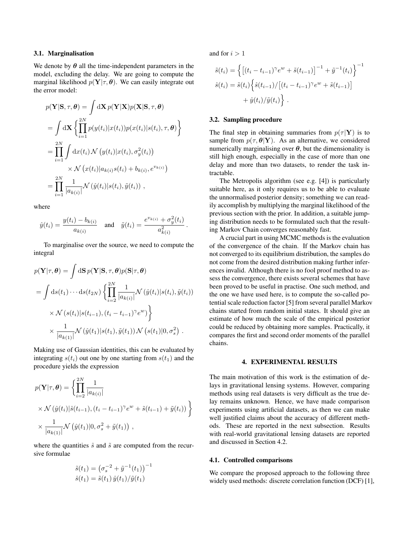#### **3.1. Marginalisation**

We denote by  $\theta$  all the time-independent parameters in the model, excluding the delay. We are going to compute the marginal likelihood  $p(Y|\tau, \theta)$ . We can easily integrate out the error model:

$$
p(\mathbf{Y}|\mathbf{S}, \tau, \boldsymbol{\theta}) = \int d\mathbf{X} p(\mathbf{Y}|\mathbf{X}) p(\mathbf{X}|\mathbf{S}, \tau, \boldsymbol{\theta})
$$
  
\n
$$
= \int d\mathbf{X} \left\{ \prod_{i=1}^{2N} p(y(t_i)|x(t_i)) p(x(t_i)|s(t_i), \tau, \boldsymbol{\theta}) \right\}
$$
  
\n
$$
= \prod_{i=1}^{2N} \int dx(t_i) \mathcal{N}(y(t_i)|x(t_i), \sigma_y^2(t_i))
$$
  
\n
$$
\times \mathcal{N}(x(t_i)|a_{k(i)}s(t_i) + b_{k(i)}, e^{v_{k(i)}})
$$
  
\n
$$
= \prod_{i=1}^{2N} \frac{1}{|a_{k(i)}|} \mathcal{N}(\hat{y}(t_i)|s(t_i), \tilde{y}(t_i)),
$$

where

$$
\hat{y}(t_i) = \frac{y(t_i) - b_{k(i)}}{a_{k(i)}}
$$
 and  $\tilde{y}(t_i) = \frac{e^{v_{k(i)}} + \sigma_y^2(t_i)}{a_{k(i)}^2}$ 

To marginalise over the source, we need to compute the integral

$$
p(\mathbf{Y}|\tau, \boldsymbol{\theta}) = \int \mathrm{d}\mathbf{S} \, p(\mathbf{Y}|\mathbf{S}, \tau, \boldsymbol{\theta}) p(\mathbf{S}|\tau, \boldsymbol{\theta})
$$
  
= 
$$
\int \mathrm{d}s(t_1) \cdots \mathrm{d}s(t_{2N}) \left\{ \prod_{i=2}^{2N} \frac{1}{|a_{k(i)}|} \mathcal{N}(\hat{y}(t_i)|s(t_i), \tilde{y}(t_i)) \right\}
$$
  

$$
\times \mathcal{N}(s(t_i)|s(t_{i-1}), (t_i - t_{i-1})^{\gamma} e^w) \right\}
$$
  

$$
\times \frac{1}{|a_{k(1)}|} \mathcal{N}(\hat{y}(t_1)|s(t_1), \tilde{y}(t_1)) \mathcal{N}(s(t_1)|0, \sigma_s^2) .
$$

Making use of Gaussian identities, this can be evaluated by integrating  $s(t_i)$  out one by one starting from  $s(t_1)$  and the procedure yields the expression

$$
p(\mathbf{Y}|\tau, \theta) = \left\{ \prod_{i=2}^{2N} \frac{1}{|a_{k(i)}|} \times \mathcal{N}(\hat{y}(t_i)|\hat{s}(t_{i-1}), (t_i - t_{i-1})^{\gamma} e^{w} + \tilde{s}(t_{i-1}) + \tilde{y}(t_i)) \right\}
$$
  
 
$$
\times \frac{1}{|a_{k(1)}|} \mathcal{N}(\hat{y}(t_1)|0, \sigma_s^2 + \tilde{y}(t_1)),
$$

where the quantities  $\hat{s}$  and  $\tilde{s}$  are computed from the recursive formulae

$$
\tilde{s}(t_1) = (\sigma_s^{-2} + \tilde{y}^{-1}(t_1))^{-1}
$$
  

$$
\hat{s}(t_1) = \tilde{s}(t_1) \hat{y}(t_1) / \tilde{y}(t_1)
$$

and for  $i > 1$ 

.

$$
\tilde{s}(t_i) = \left\{ \left[ (t_i - t_{i-1})^{\gamma} e^w + \tilde{s}(t_{i-1}) \right]^{-1} + \tilde{y}^{-1}(t_i) \right\}^{-1}
$$

$$
\hat{s}(t_i) = \tilde{s}(t_i) \left\{ \hat{s}(t_{i-1}) / \left[ (t_i - t_{i-1})^{\gamma} e^w + \tilde{s}(t_{i-1}) \right] + \hat{y}(t_i) / \tilde{y}(t_i) \right\}.
$$

### **3.2. Sampling procedure**

The final step in obtaining summaries from  $p(\tau | Y)$  is to sample from  $p(\tau, \theta | \mathbf{Y})$ . As an alternative, we considered numerically marginalising over  $\theta$ , but the dimensionality is still high enough, especially in the case of more than one delay and more than two datasets, to render the task intractable.

The Metropolis algorithm (see e.g. [4]) is particularly suitable here, as it only requires us to be able to evaluate the unnormalised posterior density; something we can readily accomplish by multiplying the marginal likelihood of the previous section with the prior. In addition, a suitable jumping distribution needs to be formulated such that the resulting Markov Chain converges reasonably fast.

A crucial part in using MCMC methods is the evaluation of the convergence of the chain. If the Markov chain has not converged to its equilibrium distribution, the samples do not come from the desired distribution making further inferences invalid. Although there is no fool proof method to assess the convergence, there exists several schemes that have been proved to be useful in practise. One such method, and the one we have used here, is to compute the so-called potential scale reduction factor [5] from several parallel Markov chains started from random initial states. It should give an estimate of how much the scale of the empirical posterior could be reduced by obtaining more samples. Practically, it compares the first and second order moments of the parallel chains.

### **4. EXPERIMENTAL RESULTS**

The main motivation of this work is the estimation of delays in gravitational lensing systems. However, comparing methods using real datasets is very difficult as the true delay remains unknown. Hence, we have made comparison experiments using artificial datasets, as then we can make well justified claims about the accuracy of different methods. These are reported in the next subsection. Results with real-world gravitational lensing datasets are reported and discussed in Section 4.2.

#### **4.1. Controlled comparisons**

We compare the proposed approach to the following three widely used methods: discrete correlation function (DCF) [1],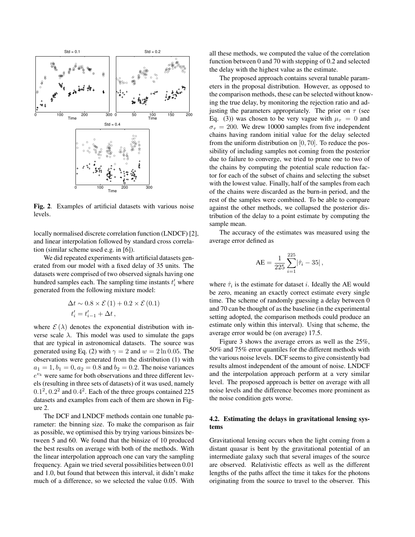

**Fig. 2**. Examples of artificial datasets with various noise levels.

locally normalised discrete correlation function (LNDCF) [2], and linear interpolation followed by standard cross correlation (similar scheme used e.g. in [6]).

We did repeated experiments with artificial datasets generated from our model with a fixed delay of 35 units. The datasets were comprised of two observed signals having one hundred samples each. The sampling time instants  $t_i$  where generated from the following mixture model:

$$
\Delta t \sim 0.8 \times \mathcal{E}(1) + 0.2 \times \mathcal{E}(0.1)
$$
  

$$
t'_{i} = t'_{i-1} + \Delta t,
$$

where  $\mathcal{E}(\lambda)$  denotes the exponential distribution with inverse scale  $\lambda$ . This model was used to simulate the gaps that are typical in astronomical datasets. The source was generated using Eq. (2) with  $\gamma = 2$  and  $w = 2 \ln 0.05$ . The observations were generated from the distribution (1) with  $a_1 = 1, b_1 = 0, a_2 = 0.8$  and  $b_2 = 0.2$ . The noise variances  $e^{v_k}$  were same for both observations and three different levels (resulting in three sets of datasets) of it was used, namely  $0.1<sup>2</sup>$ ,  $0.2<sup>2</sup>$  and  $0.4<sup>2</sup>$ . Each of the three groups contained 225 datasets and examples from each of them are shown in Figure 2.

The DCF and LNDCF methods contain one tunable parameter: the binning size. To make the comparison as fair as possible, we optimised this by trying various binsizes between 5 and 60. We found that the binsize of 10 produced the best results on average with both of the methods. With the linear interpolation approach one can vary the sampling frequency. Again we tried several possibilities between 0.01 and 1.0, but found that between this interval, it didn't make much of a difference, so we selected the value 0.05. With

all these methods, we computed the value of the correlation function between 0 and 70 with stepping of 0.2 and selected the delay with the highest value as the estimate.

The proposed approach contains several tunable parameters in the proposal distribution. However, as opposed to the comparison methods, these can be selected without knowing the true delay, by monitoring the rejection ratio and adjusting the parameters appropriately. The prior on  $\tau$  (see Eq. (3)) was chosen to be very vague with  $\mu_{\tau} = 0$  and  $\sigma_{\tau} = 200$ . We drew 10000 samples from five independent chains having random initial value for the delay selected from the uniform distribution on [0, 70]. To reduce the possibility of including samples not coming from the posterior due to failure to converge, we tried to prune one to two of the chains by computing the potential scale reduction factor for each of the subset of chains and selecting the subset with the lowest value. Finally, half of the samples from each of the chains were discarded as the burn-in period, and the rest of the samples were combined. To be able to compare against the other methods, we collapsed the posterior distribution of the delay to a point estimate by computing the sample mean.

The accuracy of the estimates was measured using the average error defined as

AE = 
$$
\frac{1}{225} \sum_{i=1}^{225} |\hat{\tau}_i - 35|,
$$

where  $\hat{\tau}_i$  is the estimate for dataset *i*. Ideally the AE would be zero, meaning an exactly correct estimate every single time. The scheme of randomly guessing a delay between 0 and 70 can be thought of as the baseline (in the experimental setting adopted, the comparison methods could produce an estimate only within this interval). Using that scheme, the average error would be (on average) 17.5.

Figure 3 shows the average errors as well as the 25%, 50% and 75% error quantiles for the different methods with the various noise levels. DCF seems to give consistently bad results almost independent of the amount of noise. LNDCF and the interpolation approach perform at a very similar level. The proposed approach is better on average with all noise levels and the difference becomes more prominent as the noise condition gets worse.

## **4.2. Estimating the delays in gravitational lensing systems**

Gravitational lensing occurs when the light coming from a distant quasar is bent by the gravitational potential of an intermediate galaxy such that several images of the source are observed. Relativistic effects as well as the different lengths of the paths affect the time it takes for the photons originating from the source to travel to the observer. This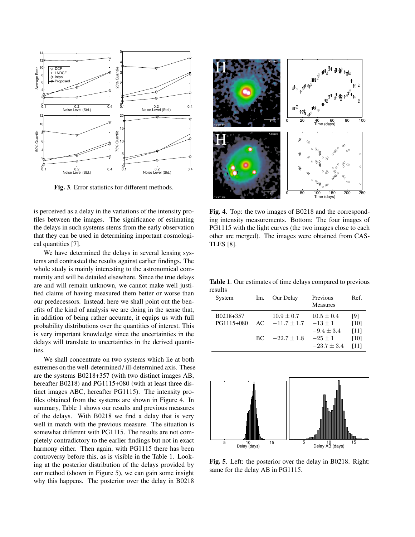

**Fig. 3**. Error statistics for different methods.

is perceived as a delay in the variations of the intensity profiles between the images. The significance of estimating the delays in such systems stems from the early observation that they can be used in determining important cosmological quantities [7].

We have determined the delays in several lensing systems and contrasted the results against earlier findings. The whole study is mainly interesting to the astronomical community and will be detailed elsewhere. Since the true delays are and will remain unknown, we cannot make well justified claims of having measured them better or worse than our predecessors. Instead, here we shall point out the benefits of the kind of analysis we are doing in the sense that, in addition of being rather accurate, it equips us with full probability distributions over the quantities of interest. This is very important knowledge since the uncertainties in the delays will translate to uncertainties in the derived quantities.

We shall concentrate on two systems which lie at both extremes on the well-determined / ill-determined axis. These are the systems B0218+357 (with two distinct images AB, hereafter B0218) and PG1115+080 (with at least three distinct images ABC, hereafter PG1115). The intensity profiles obtained from the systems are shown in Figure 4. In summary, Table 1 shows our results and previous measures of the delays. With B0218 we find a delay that is very well in match with the previous measure. The situation is somewhat different with PG1115. The results are not completely contradictory to the earlier findings but not in exact harmony either. Then again, with PG1115 there has been controversy before this, as is visible in the Table 1. Looking at the posterior distribution of the delays provided by our method (shown in Figure 5), we can gain some insight why this happens. The posterior over the delay in B0218



**Fig. 4**. Top: the two images of B0218 and the corresponding intensity measurements. Bottom: The four images of PG1115 with the light curves (the two images close to each other are merged). The images were obtained from CAS-TLES [8].

**Table 1**. Our estimates of time delays compared to previous results

| ັບມີພະເມ   |     |                 |                             |      |
|------------|-----|-----------------|-----------------------------|------|
| System     | Im. | Our Delay       | Previous<br><b>Measures</b> | Ref. |
|            |     |                 |                             |      |
| B0218+357  |     | $10.9 \pm 0.7$  | $10.5 \pm 0.4$              | [9]  |
| PG1115+080 | AC  | $-11.7 \pm 1.7$ | $-13 + 1$                   | [10] |
|            |     |                 | $-9.4 \pm 3.4$              | [11] |
|            | BC. | $-22.7 + 1.8$   | $-25 \pm 1$                 | [10] |
|            |     |                 | $-23.7 \pm 3.4$             | [11] |



**Fig. 5**. Left: the posterior over the delay in B0218. Right: same for the delay AB in PG1115.